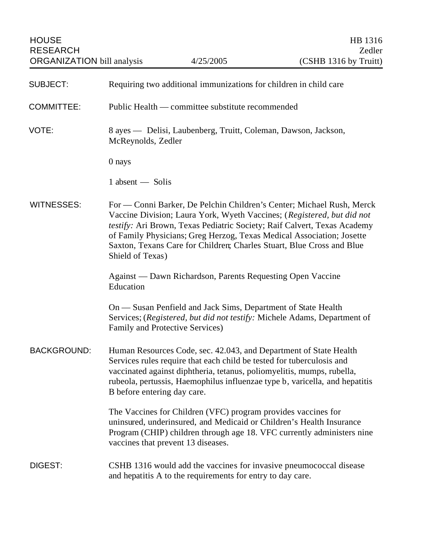| <b>SUBJECT:</b>    | Requiring two additional immunizations for children in child care                                                                                                                                                                                                                                                                                                                                 |
|--------------------|---------------------------------------------------------------------------------------------------------------------------------------------------------------------------------------------------------------------------------------------------------------------------------------------------------------------------------------------------------------------------------------------------|
| <b>COMMITTEE:</b>  | Public Health — committee substitute recommended                                                                                                                                                                                                                                                                                                                                                  |
| VOTE:              | 8 ayes — Delisi, Laubenberg, Truitt, Coleman, Dawson, Jackson,<br>McReynolds, Zedler                                                                                                                                                                                                                                                                                                              |
|                    | 0 nays                                                                                                                                                                                                                                                                                                                                                                                            |
|                    | 1 absent - Solis                                                                                                                                                                                                                                                                                                                                                                                  |
| <b>WITNESSES:</b>  | For — Conni Barker, De Pelchin Children's Center; Michael Rush, Merck<br>Vaccine Division; Laura York, Wyeth Vaccines; (Registered, but did not<br>testify: Ari Brown, Texas Pediatric Society; Raif Calvert, Texas Academy<br>of Family Physicians; Greg Herzog, Texas Medical Association; Josette<br>Saxton, Texans Care for Children; Charles Stuart, Blue Cross and Blue<br>Shield of Texas) |
|                    | Against — Dawn Richardson, Parents Requesting Open Vaccine<br>Education                                                                                                                                                                                                                                                                                                                           |
|                    | On - Susan Penfield and Jack Sims, Department of State Health<br>Services; (Registered, but did not testify: Michele Adams, Department of<br>Family and Protective Services)                                                                                                                                                                                                                      |
| <b>BACKGROUND:</b> | Human Resources Code, sec. 42.043, and Department of State Health<br>Services rules require that each child be tested for tuberculosis and<br>vaccinated against diphtheria, tetanus, poliomyelitis, mumps, rubella,<br>rubeola, pertussis, Haemophilus influenzae type b, varicella, and hepatitis<br>B before entering day care.                                                                |
|                    | The Vaccines for Children (VFC) program provides vaccines for<br>uninsured, underinsured, and Medicaid or Children's Health Insurance<br>Program (CHIP) children through age 18. VFC currently administers nine<br>vaccines that prevent 13 diseases.                                                                                                                                             |
| DIGEST:            | CSHB 1316 would add the vaccines for invasive pneumococcal disease<br>and hepatitis A to the requirements for entry to day care.                                                                                                                                                                                                                                                                  |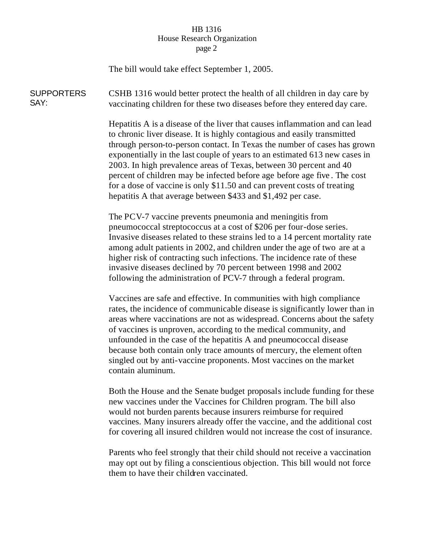## HB 1316 House Research Organization page 2

The bill would take effect September 1, 2005.

**SUPPORTERS** SAY: CSHB 1316 would better protect the health of all children in day care by vaccinating children for these two diseases before they entered day care.

> Hepatitis A is a disease of the liver that causes inflammation and can lead to chronic liver disease. It is highly contagious and easily transmitted through person-to-person contact. In Texas the number of cases has grown exponentially in the last couple of years to an estimated 613 new cases in 2003. In high prevalence areas of Texas, between 30 percent and 40 percent of children may be infected before age before age five . The cost for a dose of vaccine is only \$11.50 and can prevent costs of treating hepatitis A that average between \$433 and \$1,492 per case.

The PCV-7 vaccine prevents pneumonia and meningitis from pneumococcal streptococcus at a cost of \$206 per four-dose series. Invasive diseases related to these strains led to a 14 percent mortality rate among adult patients in 2002, and children under the age of two are at a higher risk of contracting such infections. The incidence rate of these invasive diseases declined by 70 percent between 1998 and 2002 following the administration of PCV-7 through a federal program.

Vaccines are safe and effective. In communities with high compliance rates, the incidence of communicable disease is significantly lower than in areas where vaccinations are not as widespread. Concerns about the safety of vaccines is unproven, according to the medical community, and unfounded in the case of the hepatitis A and pneumococcal disease because both contain only trace amounts of mercury, the element often singled out by anti-vaccine proponents. Most vaccines on the market contain aluminum.

Both the House and the Senate budget proposals include funding for these new vaccines under the Vaccines for Children program. The bill also would not burden parents because insurers reimburse for required vaccines. Many insurers already offer the vaccine, and the additional cost for covering all insured children would not increase the cost of insurance.

Parents who feel strongly that their child should not receive a vaccination may opt out by filing a conscientious objection. This bill would not force them to have their children vaccinated.